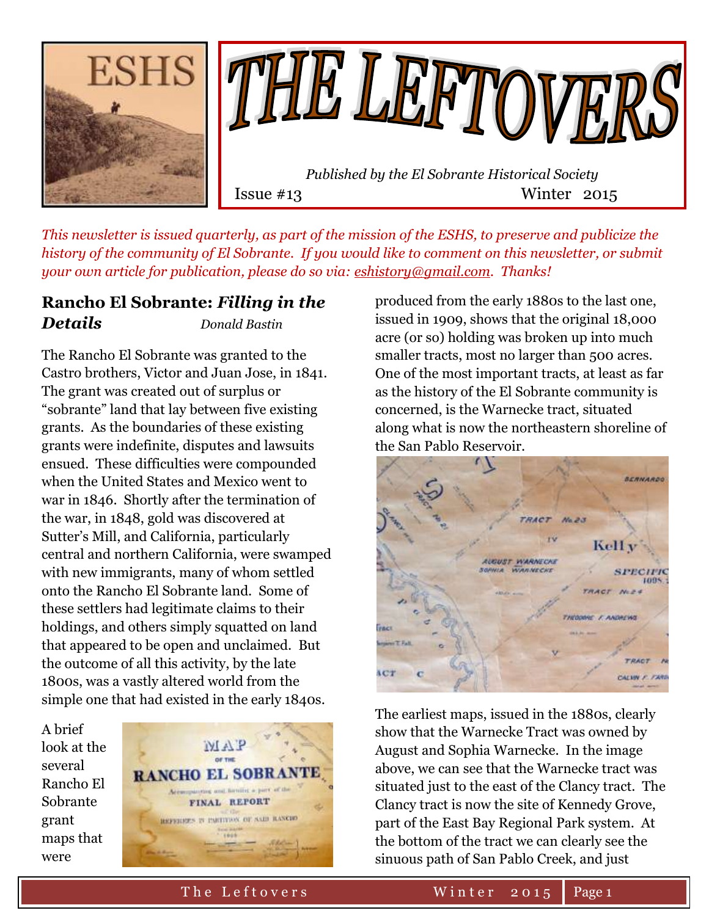



Issue #13 Winter 2015

*This newsletter is issued quarterly, as part of the mission of the ESHS, to preserve and publicize the history of the community of El Sobrante. If you would like to comment on this newsletter, or submit your own article for publication, please do so via: [eshistory@gmail.com.](mailto:eshistory@gmail.com) Thanks!*

### **Rancho El Sobrante:** *Filling in the Details Donald Bastin*

The Rancho El Sobrante was granted to the Castro brothers, Victor and Juan Jose, in 1841. The grant was created out of surplus or "sobrante" land that lay between five existing grants. As the boundaries of these existing grants were indefinite, disputes and lawsuits ensued. These difficulties were compounded when the United States and Mexico went to war in 1846. Shortly after the termination of the war, in 1848, gold was discovered at Sutter's Mill, and California, particularly central and northern California, were swamped with new immigrants, many of whom settled onto the Rancho El Sobrante land. Some of these settlers had legitimate claims to their holdings, and others simply squatted on land that appeared to be open and unclaimed. But the outcome of all this activity, by the late 1800s, was a vastly altered world from the simple one that had existed in the early 1840s.





produced from the early 1880s to the last one, issued in 1909, shows that the original 18,000 acre (or so) holding was broken up into much smaller tracts, most no larger than 500 acres. One of the most important tracts, at least as far as the history of the El Sobrante community is concerned, is the Warnecke tract, situated along what is now the northeastern shoreline of the San Pablo Reservoir.



The earliest maps, issued in the 1880s, clearly show that the Warnecke Tract was owned by August and Sophia Warnecke. In the image above, we can see that the Warnecke tract was situated just to the east of the Clancy tract. The Clancy tract is now the site of Kennedy Grove, part of the East Bay Regional Park system. At the bottom of the tract we can clearly see the sinuous path of San Pablo Creek, and just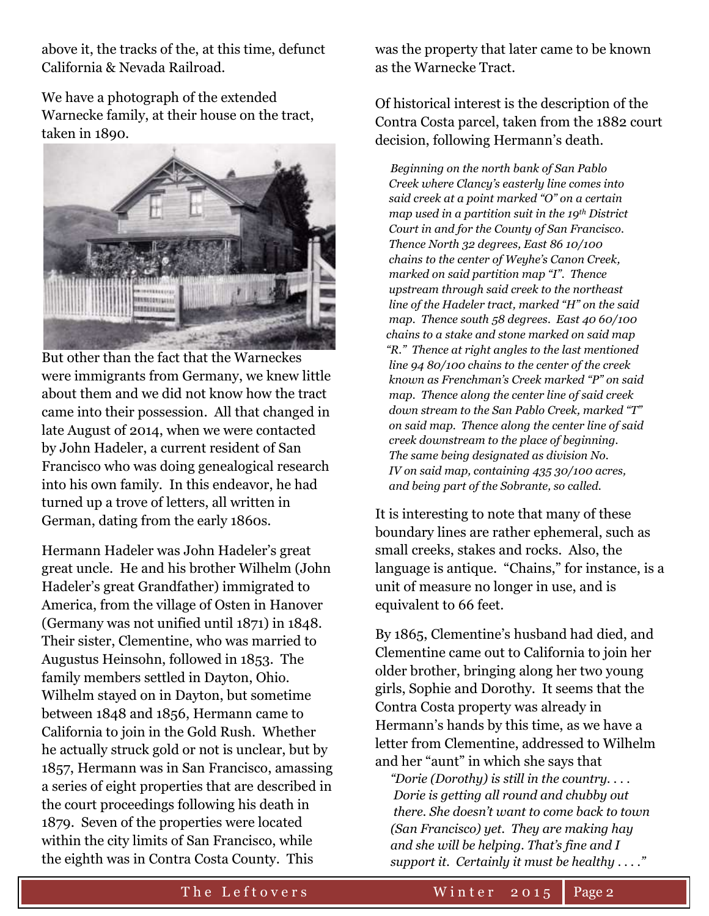above it, the tracks of the, at this time, defunct California & Nevada Railroad.

We have a photograph of the extended Warnecke family, at their house on the tract, taken in 1890.



But other than the fact that the Warneckes were immigrants from Germany, we knew little about them and we did not know how the tract came into their possession. All that changed in late August of 2014, when we were contacted by John Hadeler, a current resident of San Francisco who was doing genealogical research into his own family. In this endeavor, he had turned up a trove of letters, all written in German, dating from the early 1860s.

Hermann Hadeler was John Hadeler's great great uncle. He and his brother Wilhelm (John Hadeler's great Grandfather) immigrated to America, from the village of Osten in Hanover (Germany was not unified until 1871) in 1848. Their sister, Clementine, who was married to Augustus Heinsohn, followed in 1853. The family members settled in Dayton, Ohio. Wilhelm stayed on in Dayton, but sometime between 1848 and 1856, Hermann came to California to join in the Gold Rush. Whether he actually struck gold or not is unclear, but by 1857, Hermann was in San Francisco, amassing a series of eight properties that are described in the court proceedings following his death in 1879. Seven of the properties were located within the city limits of San Francisco, while the eighth was in Contra Costa County. This

was the property that later came to be known as the Warnecke Tract.

Of historical interest is the description of the Contra Costa parcel, taken from the 1882 court decision, following Hermann's death.

 *Beginning on the north bank of San Pablo Creek where Clancy's easterly line comes into said creek at a point marked "O" on a certain map used in a partition suit in the 19th District Court in and for the County of San Francisco. Thence North 32 degrees, East 86 10/100 chains to the center of Weyhe's Canon Creek, marked on said partition map "I". Thence upstream through said creek to the northeast line of the Hadeler tract, marked "H" on the said map. Thence south 58 degrees. East 40 60/100 chains to a stake and stone marked on said map "R." Thence at right angles to the last mentioned line 94 80/100 chains to the center of the creek known as Frenchman's Creek marked "P" on said map. Thence along the center line of said creek down stream to the San Pablo Creek, marked "T" on said map. Thence along the center line of said creek downstream to the place of beginning. The same being designated as division No. IV on said map, containing 435 30/100 acres, and being part of the Sobrante, so called.*

It is interesting to note that many of these boundary lines are rather ephemeral, such as small creeks, stakes and rocks. Also, the language is antique. "Chains," for instance, is a unit of measure no longer in use, and is equivalent to 66 feet.

By 1865, Clementine's husband had died, and Clementine came out to California to join her older brother, bringing along her two young girls, Sophie and Dorothy. It seems that the Contra Costa property was already in Hermann's hands by this time, as we have a letter from Clementine, addressed to Wilhelm and her "aunt" in which she says that

 *"Dorie (Dorothy) is still in the country. . . . Dorie is getting all round and chubby out there. She doesn't want to come back to town (San Francisco) yet. They are making hay and she will be helping. That's fine and I support it. Certainly it must be healthy . . . ."*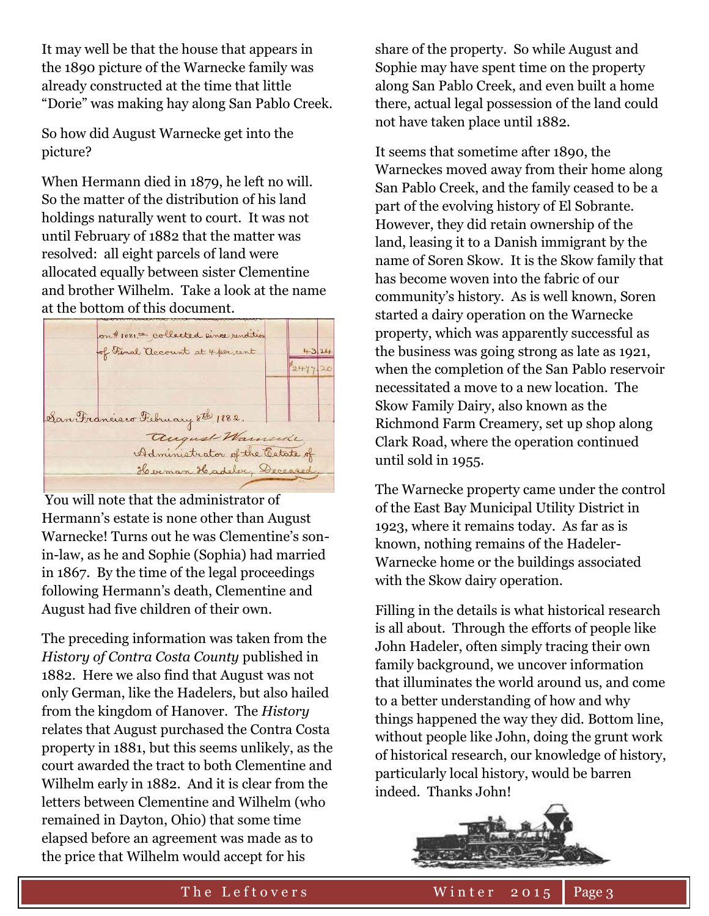It may well be that the house that appears in the 1890 picture of the Warnecke family was already constructed at the time that little "Dorie" was making hay along San Pablo Creek.

So how did August Warnecke get into the picture?

When Hermann died in 1879, he left no will. So the matter of the distribution of his land holdings naturally went to court. It was not until February of 1882 that the matter was resolved: all eight parcels of land were allocated equally between sister Clementine and brother Wilhelm. Take a look at the name at the bottom of this document.



You will note that the administrator of Hermann's estate is none other than August Warnecke! Turns out he was Clementine's sonin-law, as he and Sophie (Sophia) had married in 1867. By the time of the legal proceedings following Hermann's death, Clementine and August had five children of their own.

The preceding information was taken from the *History of Contra Costa County* published in 1882. Here we also find that August was not only German, like the Hadelers, but also hailed from the kingdom of Hanover. The *History* relates that August purchased the Contra Costa property in 1881, but this seems unlikely, as the court awarded the tract to both Clementine and Wilhelm early in 1882. And it is clear from the letters between Clementine and Wilhelm (who remained in Dayton, Ohio) that some time elapsed before an agreement was made as to the price that Wilhelm would accept for his

share of the property. So while August and Sophie may have spent time on the property along San Pablo Creek, and even built a home there, actual legal possession of the land could not have taken place until 1882.

It seems that sometime after 1890, the Warneckes moved away from their home along San Pablo Creek, and the family ceased to be a part of the evolving history of El Sobrante. However, they did retain ownership of the land, leasing it to a Danish immigrant by the name of Soren Skow. It is the Skow family that has become woven into the fabric of our community's history. As is well known, Soren started a dairy operation on the Warnecke property, which was apparently successful as the business was going strong as late as 1921, when the completion of the San Pablo reservoir necessitated a move to a new location. The Skow Family Dairy, also known as the Richmond Farm Creamery, set up shop along Clark Road, where the operation continued until sold in 1955.

The Warnecke property came under the control of the East Bay Municipal Utility District in 1923, where it remains today. As far as is known, nothing remains of the Hadeler-Warnecke home or the buildings associated with the Skow dairy operation.

Filling in the details is what historical research is all about. Through the efforts of people like John Hadeler, often simply tracing their own family background, we uncover information that illuminates the world around us, and come to a better understanding of how and why things happened the way they did. Bottom line, without people like John, doing the grunt work of historical research, our knowledge of history, particularly local history, would be barren indeed. Thanks John!

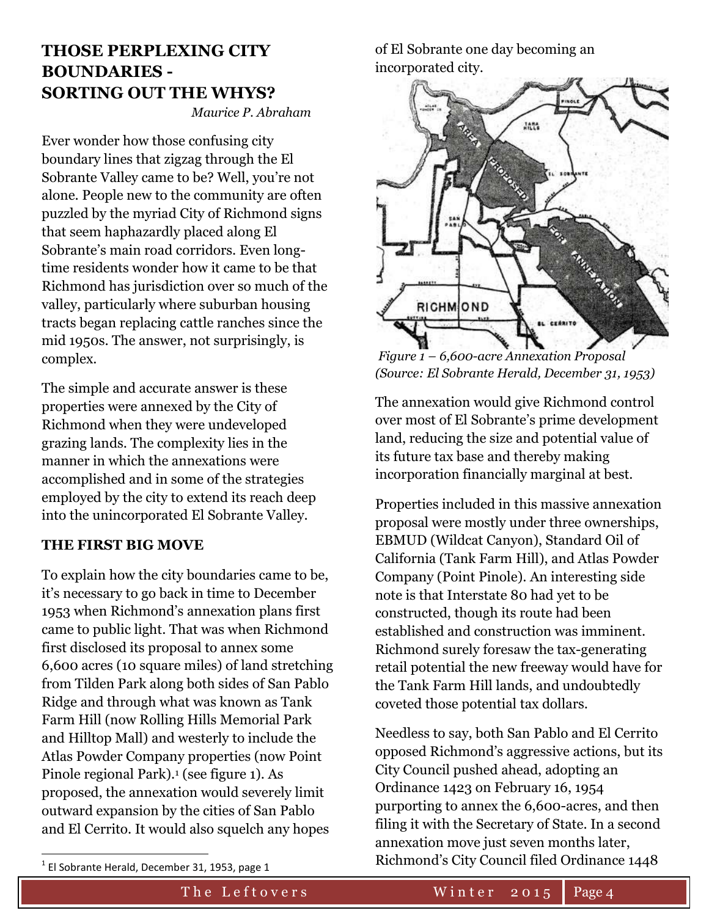# **THOSE PERPLEXING CITY BOUNDARIES - SORTING OUT THE WHYS?**

*Maurice P. Abraham*

Ever wonder how those confusing city boundary lines that zigzag through the El Sobrante Valley came to be? Well, you're not alone. People new to the community are often puzzled by the myriad City of Richmond signs that seem haphazardly placed along El Sobrante's main road corridors. Even longtime residents wonder how it came to be that Richmond has jurisdiction over so much of the valley, particularly where suburban housing tracts began replacing cattle ranches since the mid 1950s. The answer, not surprisingly, is complex.

The simple and accurate answer is these properties were annexed by the City of Richmond when they were undeveloped grazing lands. The complexity lies in the manner in which the annexations were accomplished and in some of the strategies employed by the city to extend its reach deep into the unincorporated El Sobrante Valley.

#### **THE FIRST BIG MOVE**

To explain how the city boundaries came to be, it's necessary to go back in time to December 1953 when Richmond's annexation plans first came to public light. That was when Richmond first disclosed its proposal to annex some 6,600 acres (10 square miles) of land stretching from Tilden Park along both sides of San Pablo Ridge and through what was known as Tank Farm Hill (now Rolling Hills Memorial Park and Hilltop Mall) and westerly to include the Atlas Powder Company properties (now Point Pinole regional Park).<sup>1</sup> (see figure 1). As proposed, the annexation would severely limit outward expansion by the cities of San Pablo and El Cerrito. It would also squelch any hopes

of El Sobrante one day becoming an incorporated city.



*Figure 1 – 6,600-acre Annexation Proposal (Source: El Sobrante Herald, December 31, 1953)*

The annexation would give Richmond control over most of El Sobrante's prime development land, reducing the size and potential value of its future tax base and thereby making incorporation financially marginal at best.

Properties included in this massive annexation proposal were mostly under three ownerships, EBMUD (Wildcat Canyon), Standard Oil of California (Tank Farm Hill), and Atlas Powder Company (Point Pinole). An interesting side note is that Interstate 80 had yet to be constructed, though its route had been established and construction was imminent. Richmond surely foresaw the tax-generating retail potential the new freeway would have for the Tank Farm Hill lands, and undoubtedly coveted those potential tax dollars.

Needless to say, both San Pablo and El Cerrito opposed Richmond's aggressive actions, but its City Council pushed ahead, adopting an Ordinance 1423 on February 16, 1954 purporting to annex the 6,600-acres, and then filing it with the Secretary of State. In a second annexation move just seven months later, Richmond's City Council filed Ordinance 1448

 $\overline{\phantom{a}}$ 

 $^{1}$  El Sobrante Herald, December 31, 1953, page 1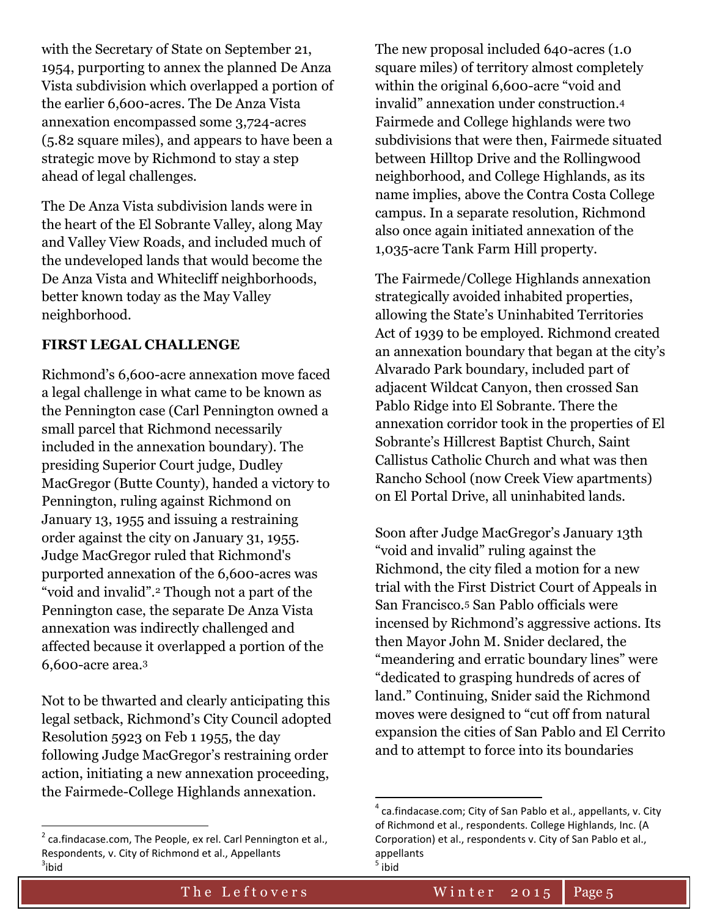with the Secretary of State on September 21, 1954, purporting to annex the planned De Anza Vista subdivision which overlapped a portion of the earlier 6,600-acres. The De Anza Vista annexation encompassed some 3,724-acres (5.82 square miles), and appears to have been a strategic move by Richmond to stay a step ahead of legal challenges.

The De Anza Vista subdivision lands were in the heart of the El Sobrante Valley, along May and Valley View Roads, and included much of the undeveloped lands that would become the De Anza Vista and Whitecliff neighborhoods, better known today as the May Valley neighborhood.

### **FIRST LEGAL CHALLENGE**

Richmond's 6,600-acre annexation move faced a legal challenge in what came to be known as the Pennington case (Carl Pennington owned a small parcel that Richmond necessarily included in the annexation boundary). The presiding Superior Court judge, Dudley MacGregor (Butte County), handed a victory to Pennington, ruling against Richmond on January 13, 1955 and issuing a restraining order against the city on January 31, 1955. Judge MacGregor ruled that Richmond's purported annexation of the 6,600-acres was "void and invalid".<sup>2</sup> Though not a part of the Pennington case, the separate De Anza Vista annexation was indirectly challenged and affected because it overlapped a portion of the 6,600-acre area.<sup>3</sup>

Not to be thwarted and clearly anticipating this legal setback, Richmond's City Council adopted Resolution 5923 on Feb 1 1955, the day following Judge MacGregor's restraining order action, initiating a new annexation proceeding, the Fairmede-College Highlands annexation.

 $\overline{\phantom{a}}$ 

The new proposal included 640-acres (1.0 square miles) of territory almost completely within the original 6,600-acre "void and invalid" annexation under construction.<sup>4</sup> Fairmede and College highlands were two subdivisions that were then, Fairmede situated between Hilltop Drive and the Rollingwood neighborhood, and College Highlands, as its name implies, above the Contra Costa College campus. In a separate resolution, Richmond also once again initiated annexation of the 1,035-acre Tank Farm Hill property.

The Fairmede/College Highlands annexation strategically avoided inhabited properties, allowing the State's Uninhabited Territories Act of 1939 to be employed. Richmond created an annexation boundary that began at the city's Alvarado Park boundary, included part of adjacent Wildcat Canyon, then crossed San Pablo Ridge into El Sobrante. There the annexation corridor took in the properties of El Sobrante's Hillcrest Baptist Church, Saint Callistus Catholic Church and what was then Rancho School (now Creek View apartments) on El Portal Drive, all uninhabited lands.

Soon after Judge MacGregor's January 13th "void and invalid" ruling against the Richmond, the city filed a motion for a new trial with the First District Court of Appeals in San Francisco.<sup>5</sup> San Pablo officials were incensed by Richmond's aggressive actions. Its then Mayor John M. Snider declared, the "meandering and erratic boundary lines" were "dedicated to grasping hundreds of acres of land." Continuing, Snider said the Richmond moves were designed to "cut off from natural expansion the cities of San Pablo and El Cerrito and to attempt to force into its boundaries

 $\overline{\phantom{a}}$ 

 $2$  ca.findacase.com, The People, ex rel. Carl Pennington et al., Respondents, v. City of Richmond et al., Appellants  $3$ ibid

 $^{4}$  ca.findacase.com; City of San Pablo et al., appellants, v. City of Richmond et al., respondents. College Highlands, Inc. (A Corporation) et al., respondents v. City of San Pablo et al., appellants <sup>5</sup> ibid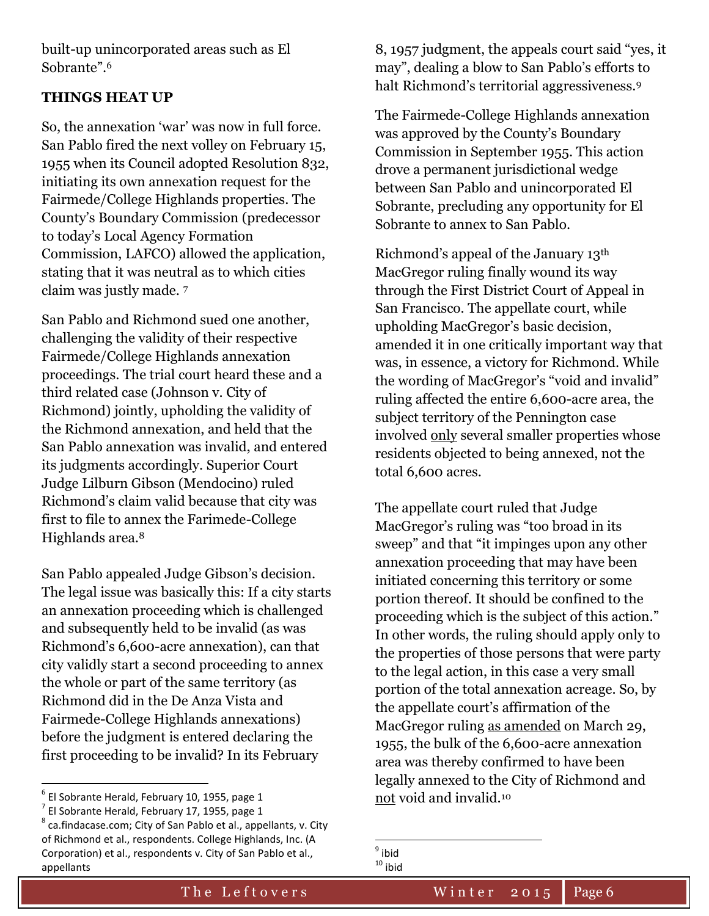built-up unincorporated areas such as El Sobrante".<sup>6</sup>

#### **THINGS HEAT UP**

So, the annexation 'war' was now in full force. San Pablo fired the next volley on February 15, 1955 when its Council adopted Resolution 832, initiating its own annexation request for the Fairmede/College Highlands properties. The County's Boundary Commission (predecessor to today's Local Agency Formation Commission, LAFCO) allowed the application, stating that it was neutral as to which cities claim was justly made. <sup>7</sup>

San Pablo and Richmond sued one another, challenging the validity of their respective Fairmede/College Highlands annexation proceedings. The trial court heard these and a third related case (Johnson v. City of Richmond) jointly, upholding the validity of the Richmond annexation, and held that the San Pablo annexation was invalid, and entered its judgments accordingly. Superior Court Judge Lilburn Gibson (Mendocino) ruled Richmond's claim valid because that city was first to file to annex the Farimede-College Highlands area.<sup>8</sup>

San Pablo appealed Judge Gibson's decision. The legal issue was basically this: If a city starts an annexation proceeding which is challenged and subsequently held to be invalid (as was Richmond's 6,600-acre annexation), can that city validly start a second proceeding to annex the whole or part of the same territory (as Richmond did in the De Anza Vista and Fairmede-College Highlands annexations) before the judgment is entered declaring the first proceeding to be invalid? In its February

 $\overline{a}$ 

8, 1957 judgment, the appeals court said "yes, it may", dealing a blow to San Pablo's efforts to halt Richmond's territorial aggressiveness.<sup>9</sup>

The Fairmede-College Highlands annexation was approved by the County's Boundary Commission in September 1955. This action drove a permanent jurisdictional wedge between San Pablo and unincorporated El Sobrante, precluding any opportunity for El Sobrante to annex to San Pablo.

Richmond's appeal of the January 13th MacGregor ruling finally wound its way through the First District Court of Appeal in San Francisco. The appellate court, while upholding MacGregor's basic decision, amended it in one critically important way that was, in essence, a victory for Richmond. While the wording of MacGregor's "void and invalid" ruling affected the entire 6,600-acre area, the subject territory of the Pennington case involved only several smaller properties whose residents objected to being annexed, not the total 6,600 acres.

The appellate court ruled that Judge MacGregor's ruling was "too broad in its sweep" and that "it impinges upon any other annexation proceeding that may have been initiated concerning this territory or some portion thereof. It should be confined to the proceeding which is the subject of this action." In other words, the ruling should apply only to the properties of those persons that were party to the legal action, in this case a very small portion of the total annexation acreage. So, by the appellate court's affirmation of the MacGregor ruling as amended on March 29, 1955, the bulk of the 6,600-acre annexation area was thereby confirmed to have been legally annexed to the City of Richmond and not void and invalid.<sup>10</sup>

<sup>6</sup> El Sobrante Herald, February 10, 1955, page 1

 $^{7}$  El Sobrante Herald, February 17, 1955, page 1

 $^8$  ca.findacase.com; City of San Pablo et al., appellants, v. City of Richmond et al., respondents. College Highlands, Inc. (A Corporation) et al., respondents v. City of San Pablo et al., appellants

l <sup>9</sup> ibid  $10$  ibid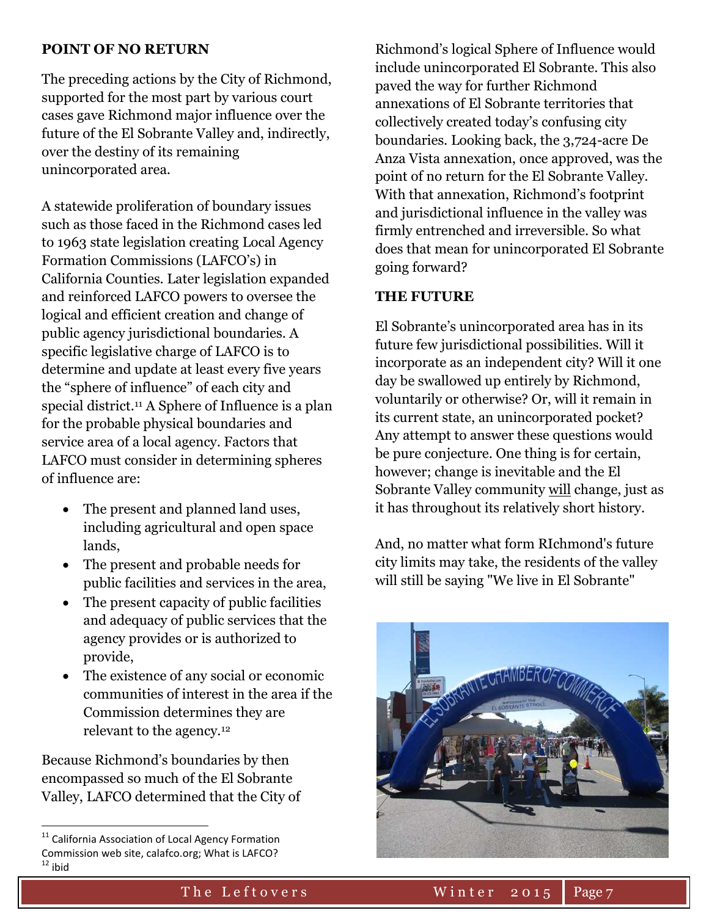#### **POINT OF NO RETURN**

The preceding actions by the City of Richmond, supported for the most part by various court cases gave Richmond major influence over the future of the El Sobrante Valley and, indirectly, over the destiny of its remaining unincorporated area.

A statewide proliferation of boundary issues such as those faced in the Richmond cases led to 1963 state legislation creating Local Agency Formation Commissions (LAFCO's) in California Counties. Later legislation expanded and reinforced LAFCO powers to oversee the logical and efficient creation and change of public agency jurisdictional boundaries. A specific legislative charge of LAFCO is to determine and update at least every five years the "sphere of influence" of each city and special district.<sup>11</sup> A Sphere of Influence is a plan for the probable physical boundaries and service area of a local agency. Factors that LAFCO must consider in determining spheres of influence are:

- The present and planned land uses, including agricultural and open space lands,
- The present and probable needs for public facilities and services in the area,
- The present capacity of public facilities and adequacy of public services that the agency provides or is authorized to provide,
- The existence of any social or economic communities of interest in the area if the Commission determines they are relevant to the agency.<sup>12</sup>

Because Richmond's boundaries by then encompassed so much of the El Sobrante Valley, LAFCO determined that the City of

 $\overline{\phantom{a}}$ 

Richmond's logical Sphere of Influence would include unincorporated El Sobrante. This also paved the way for further Richmond annexations of El Sobrante territories that collectively created today's confusing city boundaries. Looking back, the 3,724-acre De Anza Vista annexation, once approved, was the point of no return for the El Sobrante Valley. With that annexation, Richmond's footprint and jurisdictional influence in the valley was firmly entrenched and irreversible. So what does that mean for unincorporated El Sobrante going forward?

#### **THE FUTURE**

El Sobrante's unincorporated area has in its future few jurisdictional possibilities. Will it incorporate as an independent city? Will it one day be swallowed up entirely by Richmond, voluntarily or otherwise? Or, will it remain in its current state, an unincorporated pocket? Any attempt to answer these questions would be pure conjecture. One thing is for certain, however; change is inevitable and the El Sobrante Valley community will change, just as it has throughout its relatively short history.

And, no matter what form RIchmond's future city limits may take, the residents of the valley will still be saying "We live in El Sobrante"



<sup>&</sup>lt;sup>11</sup> California Association of Local Agency Formation Commission web site, calafco.org; What is LAFCO?  $12$  ibid